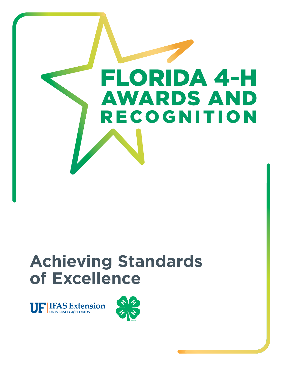

**UF IFAS Extension** 

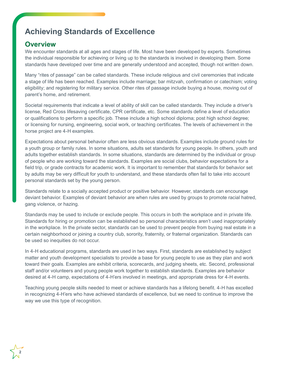### **Overview**

**2**

We encounter standards at all ages and stages of life. Most have been developed by experts. Sometimes the individual responsible for achieving or living up to the standards is involved in developing them. Some standards have developed over time and are generally understood and accepted, though not written down.

Many "rites of passage" can be called standards. These include religious and civil ceremonies that indicate a stage of life has been reached. Examples include marriage; bar mitzvah, confirmation or catechism; voting eligibility; and registering for military service. Other rites of passage include buying a house, moving out of parent's home, and retirement.

Societal requirements that indicate a level of ability of skill can be called standards. They include a driver's license, Red Cross lifesaving certificate, CPR certificate, etc. Some standards define a level of education or qualifications to perform a specific job. These include a high school diploma; post high school degree; or licensing for nursing, engineering, social work, or teaching certificates. The levels of achievement in the horse project are 4-H examples.

Expectations about personal behavior often are less obvious standards. Examples include ground rules for a youth group or family rules. In some situations, adults set standards for young people. In others, youth and adults together establish standards. In some situations, standards are determined by the individual or group of people who are working toward the standards. Examples are social clubs, behavior expectations for a field trip, or grade contracts for academic work. It is important to remember that standards for behavior set by adults may be very difficult for youth to understand, and these standards often fail to take into account personal standards set by the young person.

Standards relate to a socially accepted product or positive behavior. However, standards can encourage deviant behavior. Examples of deviant behavior are when rules are used by groups to promote racial hatred, gang violence, or hazing.

Standards may be used to include or exclude people. This occurs in both the workplace and in private life. Standards for hiring or promotion can be established so personal characteristics aren't used inappropriately in the workplace. In the private sector, standards can be used to prevent people from buying real estate in a certain neighborhood or joining a country club, sorority, fraternity, or fraternal organization. Standards can be used so inequities do not occur.

In 4-H educational programs, standards are used in two ways. First, standards are established by subject matter and youth development specialists to provide a base for young people to use as they plan and work toward their goals. Examples are exhibit criteria, scorecards, and judging sheets, etc. Second, professional staff and/or volunteers and young people work together to establish standards. Examples are behavior desired at 4-H camp, expectations of 4-H'ers involved in meetings, and appropriate dress for 4-H events.

Teaching young people skills needed to meet or achieve standards has a lifelong benefit. 4-H has excelled in recognizing 4-H'ers who have achieved standards of excellence, but we need to continue to improve the way we use this type of recognition.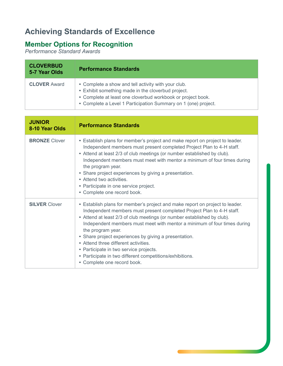## **Member Options for Recognition**

*Performance Standard Awards*

| <b>CLOVERBUD</b><br>5-7 Year Olds | <b>Performance Standards</b>                                                                                                                                                                                                               |
|-----------------------------------|--------------------------------------------------------------------------------------------------------------------------------------------------------------------------------------------------------------------------------------------|
| <b>CLOVER Award</b>               | • Complete a show and tell activity with your club.<br>• Exhibit something made in the cloverbud project.<br>• Complete at least one cloverbud workbook or project book.<br>• Complete a Level 1 Participation Summary on 1 (one) project. |

| <b>JUNIOR</b><br>8-10 Year Olds | <b>Performance Standards</b>                                                                                                                                                                                                                                                                                                                                                                                                                                                                                                                                            |
|---------------------------------|-------------------------------------------------------------------------------------------------------------------------------------------------------------------------------------------------------------------------------------------------------------------------------------------------------------------------------------------------------------------------------------------------------------------------------------------------------------------------------------------------------------------------------------------------------------------------|
| <b>BRONZE</b> Clover            | • Establish plans for member's project and make report on project to leader.<br>Independent members must present completed Project Plan to 4-H staff.<br>• Attend at least 2/3 of club meetings (or number established by club).<br>Independent members must meet with mentor a minimum of four times during<br>the program year.<br>• Share project experiences by giving a presentation.<br>• Attend two activities.<br>• Participate in one service project.<br>• Complete one record book.                                                                          |
| <b>SILVER Clover</b>            | • Establish plans for member's project and make report on project to leader.<br>Independent members must present completed Project Plan to 4-H staff.<br>• Attend at least 2/3 of club meetings (or number established by club).<br>Independent members must meet with mentor a minimum of four times during<br>the program year.<br>• Share project experiences by giving a presentation.<br>• Attend three different activities.<br>• Participate in two service projects.<br>• Participate in two different competitions/exhibitions.<br>• Complete one record book. |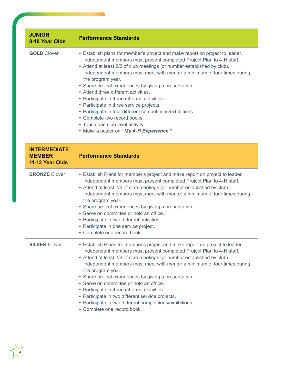| <b>JUNIOR</b><br>8-10 Year Olds | <b>Performance Standards</b>                                                                                                                                                                                                                                                                                                                                                                                                                                                                                                                                                                                                                                                                               |
|---------------------------------|------------------------------------------------------------------------------------------------------------------------------------------------------------------------------------------------------------------------------------------------------------------------------------------------------------------------------------------------------------------------------------------------------------------------------------------------------------------------------------------------------------------------------------------------------------------------------------------------------------------------------------------------------------------------------------------------------------|
| <b>GOLD Clover</b>              | • Establish plans for member's project and make report on project to leader.<br>Independent members must present completed Project Plan to 4-H staff.<br>• Attend at least 2/3 of club meetings (or number established by club).<br>Independent members must meet with mentor a minimum of four times during<br>the program year.<br>• Share project experiences by giving a presentation.<br>• Attend three different activities.<br>• Participate in three different activities.<br>• Participate in three service projects.<br>• Participate in four different competitions/exhibitions.<br>• Complete two record books.<br>• Teach one club level activity.<br>• Make a poster on "My 4-H Experience." |

| <b>INTERMEDIATE</b><br><b>MEMBER</b><br>11-13 Year Olds | <b>Performance Standards</b>                                                                                                                                                                                                                                                                                                                                                                                                                                                                                                                                                                                                         |
|---------------------------------------------------------|--------------------------------------------------------------------------------------------------------------------------------------------------------------------------------------------------------------------------------------------------------------------------------------------------------------------------------------------------------------------------------------------------------------------------------------------------------------------------------------------------------------------------------------------------------------------------------------------------------------------------------------|
| <b>BRONZE Clover</b>                                    | • Establish Plans for member's project and make report on project to leader.<br>Independent members must present completed Project Plan to 4-H staff.<br>• Attend at least 2/3 of club meetings (or number established by club).<br>Independent members must meet with mentor a minimum of four times during<br>the program year.<br>• Share project experiences by giving a presentation.<br>• Serve on committee or hold an office.<br>• Participate in two different activities.<br>• Participate in one service project.<br>• Complete one record book.                                                                          |
| <b>SILVER Clover</b>                                    | • Establish Plans for member's project and make report on project to leader.<br>Independent members must present completed Project Plan to 4-H staff.<br>• Attend at least 2/3 of club meetings (or number established by club).<br>Independent members must meet with mentor a minimum of four times during<br>the program year.<br>• Share project experiences by giving a presentation.<br>• Serve on committee or hold an office.<br>• Participate in three different activities.<br>• Participate in two different service projects.<br>• Participate in two different competitions/exhibitions.<br>• Complete one record book. |

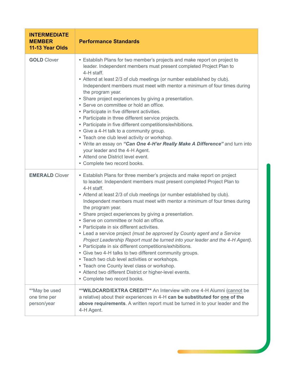| <b>INTERMEDIATE</b><br><b>MEMBER</b><br>11-13 Year Olds | <b>Performance Standards</b>                                                                                                                                                                                                                                                                                                                                                                                                                                                                                                                                                                                                                                                                                                                                                                                                                                                                                                                                                      |
|---------------------------------------------------------|-----------------------------------------------------------------------------------------------------------------------------------------------------------------------------------------------------------------------------------------------------------------------------------------------------------------------------------------------------------------------------------------------------------------------------------------------------------------------------------------------------------------------------------------------------------------------------------------------------------------------------------------------------------------------------------------------------------------------------------------------------------------------------------------------------------------------------------------------------------------------------------------------------------------------------------------------------------------------------------|
| <b>GOLD Clover</b>                                      | • Establish Plans for two member's projects and make report on project to<br>leader. Independent members must present completed Project Plan to<br>4-H staff.<br>• Attend at least 2/3 of club meetings (or number established by club).<br>Independent members must meet with mentor a minimum of four times during<br>the program year.<br>• Share project experiences by giving a presentation.<br>• Serve on committee or hold an office.<br>• Participate in five different activities.<br>• Participate in three different service projects.<br>• Participate in five different competitions/exhibitions.<br>• Give a 4-H talk to a community group.<br>• Teach one club level activity or workshop.<br>. Write an essay on "Can One 4-H'er Really Make A Difference" and turn into<br>your leader and the 4-H Agent.<br>• Attend one District level event.<br>• Complete two record books.                                                                                 |
| <b>EMERALD Clover</b>                                   | • Establish Plans for three member's projects and make report on project<br>to leader. Independent members must present completed Project Plan to<br>4-H staff.<br>• Attend at least 2/3 of club meetings (or number established by club).<br>Independent members must meet with mentor a minimum of four times during<br>the program year.<br>• Share project experiences by giving a presentation.<br>• Serve on committee or hold an office.<br>• Participate in six different activities.<br>• Lead a service project (must be approved by County agent and a Service<br>Project Leadership Report must be turned into your leader and the 4-H Agent).<br>• Participate in six different competitions/exhibitions.<br>• Give two 4-H talks to two different community groups.<br>Teach two club level activities or workshops.<br>٠<br>• Teach one County level class or workshop.<br>• Attend two different District or higher-level events.<br>• Complete two record books. |
| **May be used<br>one time per<br>person/year            | ** WILDCARD/EXTRA CREDIT** An Interview with one 4-H Alumni (cannot be<br>a relative) about their experiences in 4-H can be substituted for one of the<br>above requirements. A written report must be turned in to your leader and the<br>4-H Agent.                                                                                                                                                                                                                                                                                                                                                                                                                                                                                                                                                                                                                                                                                                                             |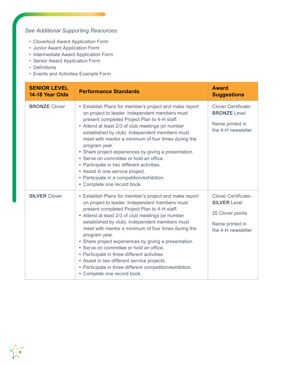## *See Additional Supporting Resources:*

- Cloverbud Award Application Form
- Junior Award Application Form
- Intermediate Award Application Form
- Senior Award Application Form
- Definitions
- Events and Activities Example Form

| <b>SENIOR LEVEL</b><br>14-18 Year Olds | <b>Performance Standards</b>                                                                                                                                                                                                                                                                                                                                                                                                                                                                                                                                                                                                          | <b>Award</b><br><b>Suggestions</b>                                                                             |
|----------------------------------------|---------------------------------------------------------------------------------------------------------------------------------------------------------------------------------------------------------------------------------------------------------------------------------------------------------------------------------------------------------------------------------------------------------------------------------------------------------------------------------------------------------------------------------------------------------------------------------------------------------------------------------------|----------------------------------------------------------------------------------------------------------------|
| <b>BRONZE Clover</b>                   | • Establish Plans for member's project and make report<br>on project to leader. Independent members must<br>present completed Project Plan to 4-H staff.<br>• Attend at least 2/3 of club meetings (or number<br>established by club). Independent members must<br>meet with mentor a minimum of four times during the<br>program year.<br>• Share project experiences by giving a presentation.<br>• Serve on committee or hold an office.<br>• Participate in two different activities.<br>• Assist in one service project.<br>• Participate in a competition/exhibition.<br>• Complete one record book.                            | <b>Clover Certificate-</b><br><b>BRONZE</b> Level<br>Name printed in<br>the 4-H newsletter                     |
| <b>SILVER Clover</b>                   | • Establish Plans for member's project and make report<br>on project to leader. Independent members must<br>present completed Project Plan to 4-H staff.<br>• Attend at least 2/3 of club meetings (or number<br>established by club). Independent members must<br>meet with mentor a minimum of four times during the<br>program year.<br>• Share project experiences by giving a presentation.<br>• Serve on committee or hold an office.<br>• Participate in three different activities.<br>• Assist in two different service projects.<br>• Participate in three different competition/exhibition.<br>• Complete one record book. | <b>Clover Certificate-</b><br><b>SILVER Level</b><br>25 Clover points<br>Name printed in<br>the 4-H newsletter |

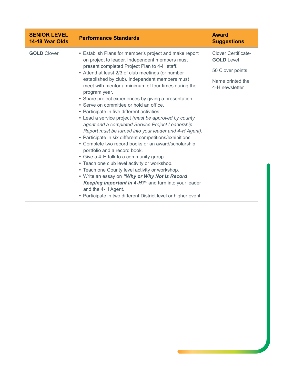| <b>SENIOR LEVEL</b><br>14-18 Year Olds | <b>Performance Standards</b>                                                                                                                                                                                                                                                                                                            | <b>Award</b><br><b>Suggestions</b>              |
|----------------------------------------|-----------------------------------------------------------------------------------------------------------------------------------------------------------------------------------------------------------------------------------------------------------------------------------------------------------------------------------------|-------------------------------------------------|
| <b>GOLD Clover</b>                     | • Establish Plans for member's project and make report<br>on project to leader. Independent members must<br>present completed Project Plan to 4-H staff.<br>• Attend at least 2/3 of club meetings (or number<br>established by club). Independent members must<br>meet with mentor a minimum of four times during the<br>program year. | <b>Clover Certificate-</b><br><b>GOLD</b> Level |
|                                        |                                                                                                                                                                                                                                                                                                                                         | 50 Clover points                                |
|                                        |                                                                                                                                                                                                                                                                                                                                         | Name printed the<br>4-H newsletter              |
|                                        | • Share project experiences by giving a presentation.<br>• Serve on committee or hold an office.                                                                                                                                                                                                                                        |                                                 |
|                                        | • Participate in five different activities.<br>• Lead a service project (must be approved by county<br>agent and a completed Service Project Leadership                                                                                                                                                                                 |                                                 |
|                                        | Report must be turned into your leader and 4-H Agent).<br>• Participate in six different competitions/exhibitions.                                                                                                                                                                                                                      |                                                 |
|                                        | • Complete two record books or an award/scholarship<br>portfolio and a record book.                                                                                                                                                                                                                                                     |                                                 |
|                                        | • Give a 4-H talk to a community group.<br>• Teach one club level activity or workshop.                                                                                                                                                                                                                                                 |                                                 |
|                                        | • Teach one County level activity or workshop.                                                                                                                                                                                                                                                                                          |                                                 |
|                                        | . Write an essay on "Why or Why Not Is Record<br>Keeping important in 4-H?" and turn into your leader<br>and the 4-H Agent.                                                                                                                                                                                                             |                                                 |
|                                        | • Participate in two different District level or higher event.                                                                                                                                                                                                                                                                          |                                                 |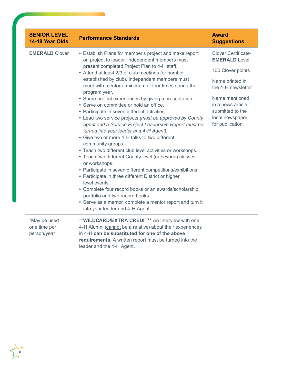| <b>SENIOR LEVEL</b><br>14-18 Year Olds      | <b>Performance Standards</b>                                                                                                                                                                                                                                                                                                                                                                                                                                                                                                                                                                                                                                                                                                                                                                                                                                                                                                                                                                                                                                                                                                                                                                               | <b>Award</b><br><b>Suggestions</b>                                                                                                                                                                                 |
|---------------------------------------------|------------------------------------------------------------------------------------------------------------------------------------------------------------------------------------------------------------------------------------------------------------------------------------------------------------------------------------------------------------------------------------------------------------------------------------------------------------------------------------------------------------------------------------------------------------------------------------------------------------------------------------------------------------------------------------------------------------------------------------------------------------------------------------------------------------------------------------------------------------------------------------------------------------------------------------------------------------------------------------------------------------------------------------------------------------------------------------------------------------------------------------------------------------------------------------------------------------|--------------------------------------------------------------------------------------------------------------------------------------------------------------------------------------------------------------------|
| <b>EMERALD Clover</b>                       | • Establish Plans for member's project and make report<br>on project to leader. Independent members must<br>present completed Project Plan to 4-H staff.<br>• Attend at least 2/3 of club meetings (or number<br>established by club). Independent members must<br>meet with mentor a minimum of four times during the<br>program year.<br>• Share project experiences by giving a presentation.<br>• Serve on committee or hold an office.<br>• Participate in seven different activities.<br>• Lead two service projects (must be approved by County<br>agent and a Service Project Leadership Report must be<br>turned into your leader and 4-H Agent).<br>• Give two or more 4-H talks to two different<br>community groups.<br>• Teach two different club level activities or workshops.<br>• Teach two different County level (or beyond) classes<br>or workshops.<br>• Participate in seven different competitions/exhibitions.<br>• Participate in three different District or higher<br>level events.<br>• Complete four record books or an awards/scholarship<br>portfolio and two record books.<br>• Serve as a mentor, complete a mentor report and turn it<br>into your leader and 4-H Agent. | <b>Clover Certificate-</b><br><b>EMERALD Level</b><br>100 Clover points<br>Name printed in<br>the 4-H newsletter<br>Name mentioned<br>in a news article<br>submitted to the<br>local newspaper<br>for publication. |
| *May be used<br>one time per<br>person/year | ** WILDCARD/EXTRA CREDIT** An Interview with one<br>4-H Alumni (cannot be a relative) about their experiences<br>in 4-H can be substituted for one of the above<br>requirements. A written report must be turned into the<br>leader and the 4-H Agent.                                                                                                                                                                                                                                                                                                                                                                                                                                                                                                                                                                                                                                                                                                                                                                                                                                                                                                                                                     |                                                                                                                                                                                                                    |

**8**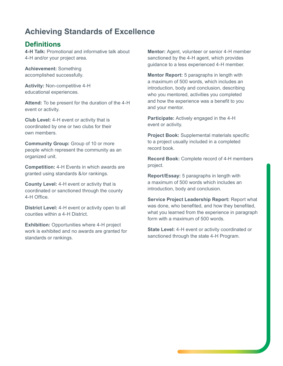## **Definitions**

**4-H Talk:** Promotional and informative talk about 4-H and/or your project area.

**Achievement:** Something accomplished successfully.

**Activity:** Non-competitive 4-H educational experiences.

**Attend:** To be present for the duration of the 4-H event or activity.

**Club Level:** 4-H event or activity that is coordinated by one or two clubs for their own members.

**Community Group:** Group of 10 or more people which represent the community as an organized unit.

**Competition:** 4-H Events in which awards are granted using standards &/or rankings.

**County Level:** 4-H event or activity that is coordinated or sanctioned through the county 4-H Office.

**District Level:** 4-H event or activity open to all counties within a 4-H District.

**Exhibition:** Opportunities where 4-H project work is exhibited and no awards are granted for standards or rankings.

**Mentor:** Agent, volunteer or senior 4-H member sanctioned by the 4-H agent, which provides guidance to a less experienced 4-H member.

**Mentor Report:** 5 paragraphs in length with a maximum of 500 words, which includes an introduction, body and conclusion, describing who you mentored, activities you completed and how the experience was a benefit to you and your mentor.

**Participate:** Actively engaged in the 4-H event or activity.

**Project Book:** Supplemental materials specific to a project usually included in a completed record book.

**Record Book:** Complete record of 4-H members project.

**Report/Essay:** 5 paragraphs in length with a maximum of 500 words which includes an introduction, body and conclusion.

**Service Project Leadership Report:** Report what was done, who benefited, and how they benefited, what you learned from the experience in paragraph form with a maximum of 500 words.

**State Level:** 4-H event or activity coordinated or sanctioned through the state 4-H Program.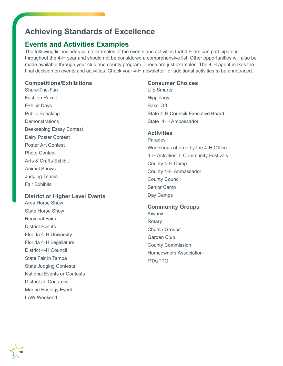## **Events and Activities Examples**

The following list includes some examples of the events and activities that 4-H'ers can participate in throughout the 4-H year and should not be considered a comprehensive list. Other opportunities will also be made available through your club and county program. These are just examples. The 4-H agent makes the final decision on events and activities. Check your 4-H newsletter for additional activities to be announced.

#### **Competitions/Exhibitions**

Share-The-Fun Fashion Revue Exhibit Days Public Speaking **Demonstrations** Beekeeping Essay Contest Dairy Poster Contest Poster Art Contest Photo Contest Arts & Crafts Exhibit Animal Shows Judging Teams Fair Exhibits

#### **District or Higher Level Events**

Area Horse Show State Horse Show Regional Fairs District Events Florida 4-H University Florida 4-H Legislature District 4-H Council State Fair in Tampa State Judging Contests National Events or Contests District Jr. Congress Marine Ecology Event LAW Weekend

#### **Consumer Choices**

Life Smarts Hippology Bake-Off State 4-H Council/ Executive Board State 4-H Ambassador

#### **Activities**

Parades Workshops offered by the 4-H Office 4-H Activities at Community Festivals County 4-H Camp County 4-H Ambassador County Council Senior Camp Day Camps

#### **Community Groups**

Kiwanis **Rotary** Church Groups Garden Club County Commission Homeowners Association PTA/PTO

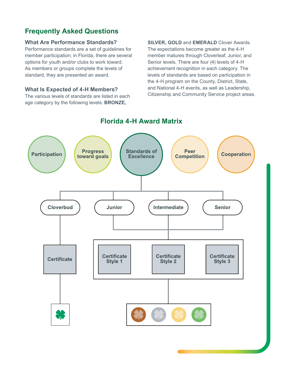## **Frequently Asked Questions**

#### **What Are Performance Standards?**

Performance standards are a set of guidelines for member participation; in Florida, there are several options for youth and/or clubs to work toward. As members or groups complete the levels of standard, they are presented an award.

#### **What Is Expected of 4-H Members?**

The various levels of standards are listed in each age category by the following levels: **BRONZE,** 

**SILVER, GOLD** and **EMERALD** Clover Awards. The expectations become greater as the 4-H member matures through Cloverleaf, Junior, and Senior levels. There are four (4) levels of 4-H achievement recognition in each category. The levels of standards are based on participation in the 4-H program on the County, District, State, and National 4-H events, as well as Leadership, Citizenship and Community Service project areas.



## **Florida 4-H Award Matrix**